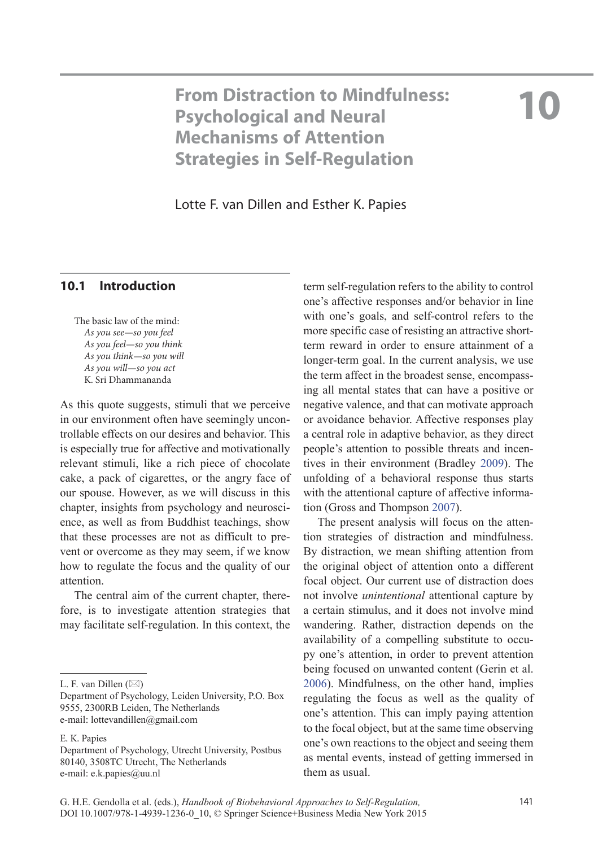# **10 From Distraction to Mindfulness: 10 Psychological and Neural Mechanisms of Attention Strategies in Self-Regulation**

Lotte F. van Dillen and Esther K. Papies

## **10.1 Introduction**

The basic law of the mind: *As you see—so you feel As you feel—so you think As you think—so you will As you will—so you act* K. Sri Dhammananda

As this quote suggests, stimuli that we perceive in our environment often have seemingly uncontrollable effects on our desires and behavior. This is especially true for affective and motivationally relevant stimuli, like a rich piece of chocolate cake, a pack of cigarettes, or the angry face of our spouse. However, as we will discuss in this chapter, insights from psychology and neuroscience, as well as from Buddhist teachings, show that these processes are not as difficult to prevent or overcome as they may seem, if we know how to regulate the focus and the quality of our attention.

The central aim of the current chapter, therefore, is to investigate attention strategies that may facilitate self-regulation. In this context, the

L. F. van Dillen  $(\boxtimes)$ 

E. K. Papies

term self-regulation refers to the ability to control one's affective responses and/or behavior in line with one's goals, and self-control refers to the more specific case of resisting an attractive shortterm reward in order to ensure attainment of a longer-term goal. In the current analysis, we use the term affect in the broadest sense, encompassing all mental states that can have a positive or negative valence, and that can motivate approach or avoidance behavior. Affective responses play a central role in adaptive behavior, as they direct people's attention to possible threats and incentives in their environment (Bradley [2009](#page-11-0)). The unfolding of a behavioral response thus starts with the attentional capture of affective information (Gross and Thompson [2007](#page-11-1)).

The present analysis will focus on the attention strategies of distraction and mindfulness. By distraction, we mean shifting attention from the original object of attention onto a different focal object. Our current use of distraction does not involve *unintentional* attentional capture by a certain stimulus, and it does not involve mind wandering. Rather, distraction depends on the availability of a compelling substitute to occupy one's attention, in order to prevent attention being focused on unwanted content (Gerin et al. [2006\)](#page-11-2). Mindfulness, on the other hand, implies regulating the focus as well as the quality of one's attention. This can imply paying attention to the focal object, but at the same time observing one's own reactions to the object and seeing them as mental events, instead of getting immersed in them as usual.

Department of Psychology, Leiden University, P.O. Box 9555, 2300RB Leiden, The Netherlands e-mail: lottevandillen@gmail.com

Department of Psychology, Utrecht University, Postbus 80140, 3508TC Utrecht, The Netherlands e-mail: e.k.papies@uu.nl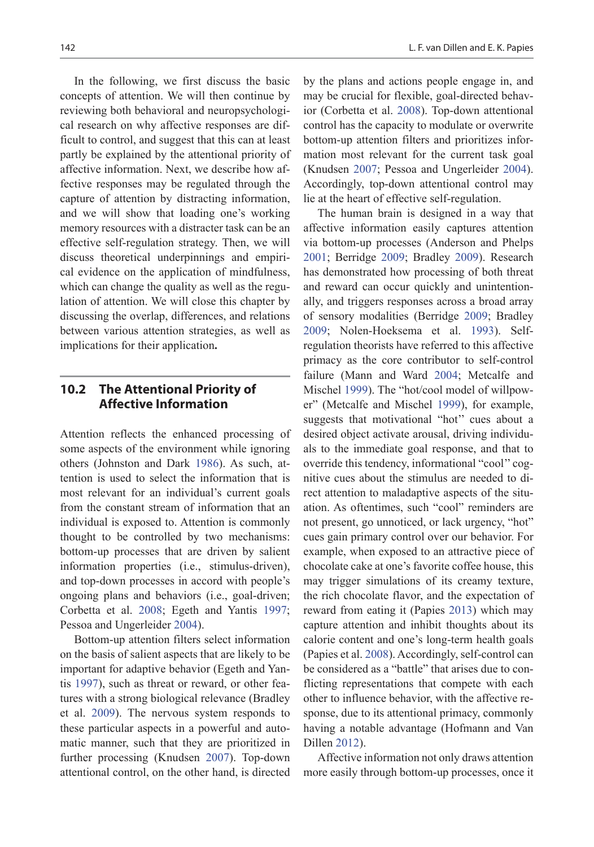In the following, we first discuss the basic concepts of attention. We will then continue by reviewing both behavioral and neuropsychological research on why affective responses are difficult to control, and suggest that this can at least partly be explained by the attentional priority of affective information. Next, we describe how affective responses may be regulated through the capture of attention by distracting information, and we will show that loading one's working memory resources with a distracter task can be an effective self-regulation strategy. Then, we will discuss theoretical underpinnings and empirical evidence on the application of mindfulness, which can change the quality as well as the regulation of attention. We will close this chapter by discussing the overlap, differences, and relations between various attention strategies, as well as implications for their application**.**

# **10.2 The Attentional Priority of Affective Information**

Attention reflects the enhanced processing of some aspects of the environment while ignoring others (Johnston and Dark [1986\)](#page-12-0). As such, attention is used to select the information that is most relevant for an individual's current goals from the constant stream of information that an individual is exposed to. Attention is commonly thought to be controlled by two mechanisms: bottom-up processes that are driven by salient information properties (i.e., stimulus-driven), and top-down processes in accord with people's ongoing plans and behaviors (i.e., goal-driven; Corbetta et al. [2008;](#page-11-3) Egeth and Yantis [1997;](#page-11-4) Pessoa and Ungerleider [2004\)](#page-13-0).

Bottom-up attention filters select information on the basis of salient aspects that are likely to be important for adaptive behavior (Egeth and Yantis [1997\)](#page-11-4), such as threat or reward, or other features with a strong biological relevance (Bradley et al. [2009\)](#page-11-0). The nervous system responds to these particular aspects in a powerful and automatic manner, such that they are prioritized in further processing (Knudsen [2007\)](#page-12-1). Top-down attentional control, on the other hand, is directed

by the plans and actions people engage in, and may be crucial for flexible, goal-directed behavior (Corbetta et al. [2008\)](#page-11-3). Top-down attentional control has the capacity to modulate or overwrite bottom-up attention filters and prioritizes information most relevant for the current task goal (Knudsen [2007;](#page-12-1) Pessoa and Ungerleider [2004\)](#page-13-0). Accordingly, top-down attentional control may lie at the heart of effective self-regulation.

The human brain is designed in a way that affective information easily captures attention via bottom-up processes (Anderson and Phelps [2001;](#page-11-5) Berridge [2009](#page-11-6); Bradley [2009\)](#page-11-0). Research has demonstrated how processing of both threat and reward can occur quickly and unintentionally, and triggers responses across a broad array of sensory modalities (Berridge [2009;](#page-11-6) Bradley [2009;](#page-11-0) Nolen-Hoeksema et al. [1993](#page-12-2)). Selfregulation theorists have referred to this affective primacy as the core contributor to self-control failure (Mann and Ward [2004](#page-12-3); Metcalfe and Mischel [1999\)](#page-12-4). The "hot/cool model of willpower" (Metcalfe and Mischel [1999\)](#page-12-4), for example, suggests that motivational "hot'' cues about a desired object activate arousal, driving individuals to the immediate goal response, and that to override this tendency, informational "cool'' cognitive cues about the stimulus are needed to direct attention to maladaptive aspects of the situation. As oftentimes, such "cool" reminders are not present, go unnoticed, or lack urgency, "hot" cues gain primary control over our behavior. For example, when exposed to an attractive piece of chocolate cake at one's favorite coffee house, this may trigger simulations of its creamy texture, the rich chocolate flavor, and the expectation of reward from eating it (Papies [2013\)](#page-12-5) which may capture attention and inhibit thoughts about its calorie content and one's long-term health goals (Papies et al. [2008](#page-12-6)). Accordingly, self-control can be considered as a "battle" that arises due to conflicting representations that compete with each other to influence behavior, with the affective response, due to its attentional primacy, commonly having a notable advantage (Hofmann and Van Dillen [2012](#page-12-7)).

Affective information not only draws attention more easily through bottom-up processes, once it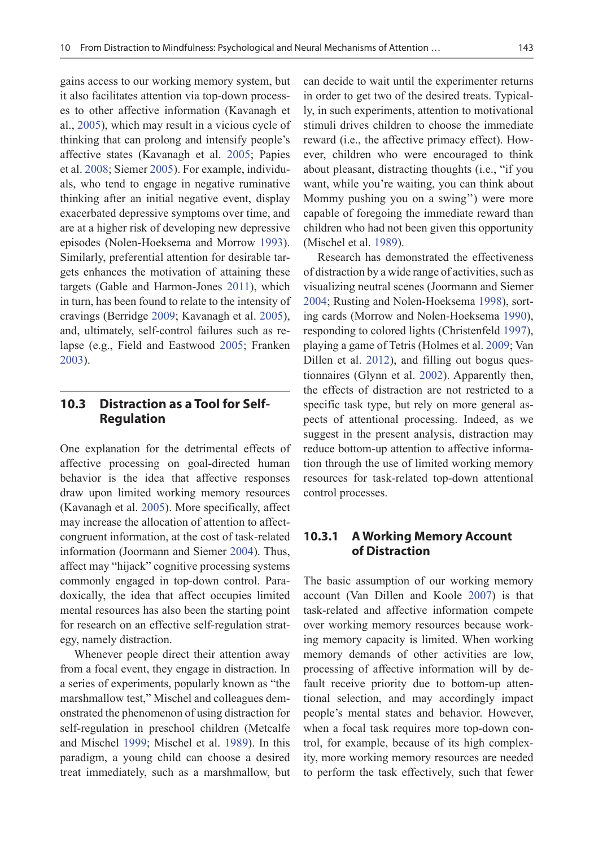gains access to our working memory system, but it also facilitates attention via top-down processes to other affective information (Kavanagh et al., [2005\)](#page-12-8), which may result in a vicious cycle of thinking that can prolong and intensify people's affective states (Kavanagh et al. [2005;](#page-12-8) Papies et al. [2008](#page-12-6); Siemer [2005\)](#page-13-1). For example, individuals, who tend to engage in negative ruminative thinking after an initial negative event, display exacerbated depressive symptoms over time, and are at a higher risk of developing new depressive episodes (Nolen-Hoeksema and Morrow [1993\)](#page-12-2). Similarly, preferential attention for desirable targets enhances the motivation of attaining these targets (Gable and Harmon-Jones [2011](#page-11-7)), which in turn, has been found to relate to the intensity of cravings (Berridge [2009;](#page-11-6) Kavanagh et al. [2005\)](#page-12-8), and, ultimately, self-control failures such as relapse (e.g., Field and Eastwood [2005;](#page-11-8) Franken [2003](#page-11-9)).

## **10.3 Distraction as a Tool for Self-Regulation**

One explanation for the detrimental effects of affective processing on goal-directed human behavior is the idea that affective responses draw upon limited working memory resources (Kavanagh et al. [2005](#page-12-8)). More specifically, affect may increase the allocation of attention to affectcongruent information, at the cost of task-related information (Joormann and Siemer [2004\)](#page-12-9). Thus, affect may "hijack" cognitive processing systems commonly engaged in top-down control. Paradoxically, the idea that affect occupies limited mental resources has also been the starting point for research on an effective self-regulation strategy, namely distraction.

Whenever people direct their attention away from a focal event, they engage in distraction. In a series of experiments, popularly known as "the marshmallow test," Mischel and colleagues demonstrated the phenomenon of using distraction for self-regulation in preschool children (Metcalfe and Mischel [1999;](#page-12-4) Mischel et al. [1989\)](#page-12-10). In this paradigm, a young child can choose a desired treat immediately, such as a marshmallow, but

can decide to wait until the experimenter returns in order to get two of the desired treats. Typically, in such experiments, attention to motivational stimuli drives children to choose the immediate reward (i.e., the affective primacy effect). However, children who were encouraged to think about pleasant, distracting thoughts (i.e., "if you want, while you're waiting, you can think about Mommy pushing you on a swing'') were more capable of foregoing the immediate reward than children who had not been given this opportunity (Mischel et al. [1989\)](#page-12-10).

Research has demonstrated the effectiveness of distraction by a wide range of activities, such as visualizing neutral scenes (Joormann and Siemer [2004;](#page-12-9) Rusting and Nolen-Hoeksema [1998\)](#page-13-2), sorting cards (Morrow and Nolen-Hoeksema [1990\)](#page-12-11), responding to colored lights (Christenfeld [1997\)](#page-11-10), playing a game of Tetris (Holmes et al. [2009](#page-12-12); Van Dillen et al. [2012](#page-13-3)), and filling out bogus questionnaires (Glynn et al. [2002\)](#page-11-11). Apparently then, the effects of distraction are not restricted to a specific task type, but rely on more general aspects of attentional processing. Indeed, as we suggest in the present analysis, distraction may reduce bottom-up attention to affective information through the use of limited working memory resources for task-related top-down attentional control processes.

#### **10.3.1 A Working Memory Account of Distraction**

The basic assumption of our working memory account (Van Dillen and Koole [2007](#page-13-4)) is that task-related and affective information compete over working memory resources because working memory capacity is limited. When working memory demands of other activities are low, processing of affective information will by default receive priority due to bottom-up attentional selection, and may accordingly impact people's mental states and behavior. However, when a focal task requires more top-down control, for example, because of its high complexity, more working memory resources are needed to perform the task effectively, such that fewer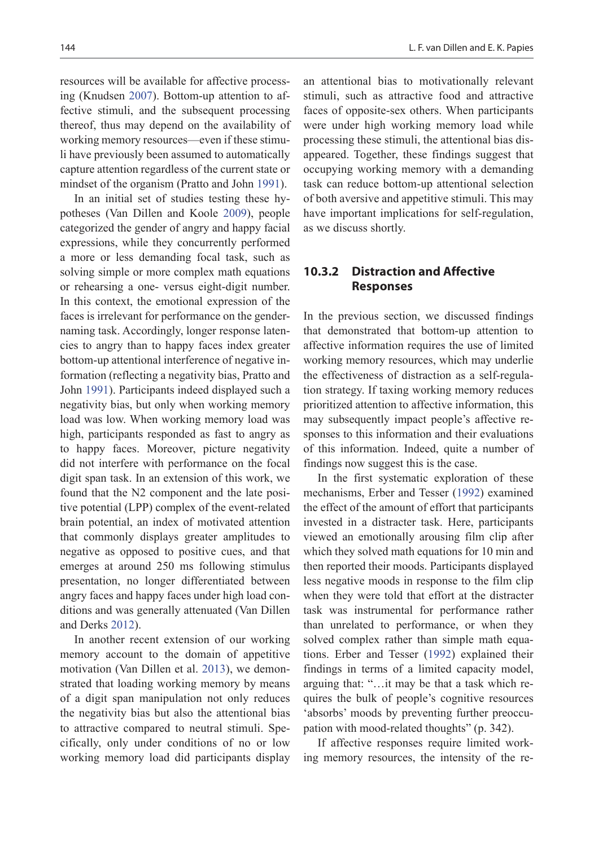resources will be available for affective processing (Knudsen [2007\)](#page-12-1). Bottom-up attention to affective stimuli, and the subsequent processing thereof, thus may depend on the availability of working memory resources—even if these stimuli have previously been assumed to automatically capture attention regardless of the current state or mindset of the organism (Pratto and John [1991](#page-13-5)).

In an initial set of studies testing these hypotheses (Van Dillen and Koole [2009\)](#page-13-6), people categorized the gender of angry and happy facial expressions, while they concurrently performed a more or less demanding focal task, such as solving simple or more complex math equations or rehearsing a one- versus eight-digit number. In this context, the emotional expression of the faces is irrelevant for performance on the gendernaming task. Accordingly, longer response latencies to angry than to happy faces index greater bottom-up attentional interference of negative information (reflecting a negativity bias, Pratto and John [1991\)](#page-13-5). Participants indeed displayed such a negativity bias, but only when working memory load was low. When working memory load was high, participants responded as fast to angry as to happy faces. Moreover, picture negativity did not interfere with performance on the focal digit span task. In an extension of this work, we found that the N2 component and the late positive potential (LPP) complex of the event-related brain potential, an index of motivated attention that commonly displays greater amplitudes to negative as opposed to positive cues, and that emerges at around 250 ms following stimulus presentation, no longer differentiated between angry faces and happy faces under high load conditions and was generally attenuated (Van Dillen and Derks [2012](#page-13-7)).

In another recent extension of our working memory account to the domain of appetitive motivation (Van Dillen et al. [2013\)](#page-13-8), we demonstrated that loading working memory by means of a digit span manipulation not only reduces the negativity bias but also the attentional bias to attractive compared to neutral stimuli. Specifically, only under conditions of no or low working memory load did participants display an attentional bias to motivationally relevant stimuli, such as attractive food and attractive faces of opposite-sex others. When participants were under high working memory load while processing these stimuli, the attentional bias disappeared. Together, these findings suggest that occupying working memory with a demanding task can reduce bottom-up attentional selection of both aversive and appetitive stimuli. This may have important implications for self-regulation, as we discuss shortly.

#### **10.3.2 Distraction and Affective Responses**

In the previous section, we discussed findings that demonstrated that bottom-up attention to affective information requires the use of limited working memory resources, which may underlie the effectiveness of distraction as a self-regulation strategy. If taxing working memory reduces prioritized attention to affective information, this may subsequently impact people's affective responses to this information and their evaluations of this information. Indeed, quite a number of findings now suggest this is the case.

In the first systematic exploration of these mechanisms, Erber and Tesser [\(1992](#page-11-12)) examined the effect of the amount of effort that participants invested in a distracter task. Here, participants viewed an emotionally arousing film clip after which they solved math equations for 10 min and then reported their moods. Participants displayed less negative moods in response to the film clip when they were told that effort at the distracter task was instrumental for performance rather than unrelated to performance, or when they solved complex rather than simple math equations. Erber and Tesser ([1992\)](#page-11-12) explained their findings in terms of a limited capacity model, arguing that: "…it may be that a task which requires the bulk of people's cognitive resources 'absorbs' moods by preventing further preoccupation with mood-related thoughts" (p. 342).

If affective responses require limited working memory resources, the intensity of the re-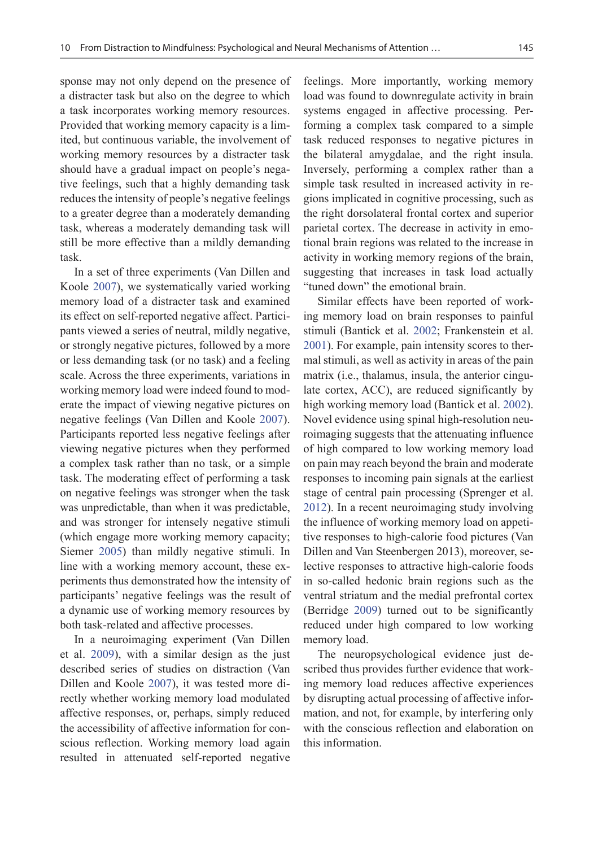sponse may not only depend on the presence of a distracter task but also on the degree to which a task incorporates working memory resources. Provided that working memory capacity is a limited, but continuous variable, the involvement of working memory resources by a distracter task should have a gradual impact on people's negative feelings, such that a highly demanding task reduces the intensity of people's negative feelings to a greater degree than a moderately demanding task, whereas a moderately demanding task will still be more effective than a mildly demanding task.

In a set of three experiments (Van Dillen and Koole [2007](#page-13-4)), we systematically varied working memory load of a distracter task and examined its effect on self-reported negative affect. Participants viewed a series of neutral, mildly negative, or strongly negative pictures, followed by a more or less demanding task (or no task) and a feeling scale. Across the three experiments, variations in working memory load were indeed found to moderate the impact of viewing negative pictures on negative feelings (Van Dillen and Koole [2007\)](#page-13-4). Participants reported less negative feelings after viewing negative pictures when they performed a complex task rather than no task, or a simple task. The moderating effect of performing a task on negative feelings was stronger when the task was unpredictable, than when it was predictable, and was stronger for intensely negative stimuli (which engage more working memory capacity; Siemer [2005](#page-13-1)) than mildly negative stimuli. In line with a working memory account, these experiments thus demonstrated how the intensity of participants' negative feelings was the result of a dynamic use of working memory resources by both task-related and affective processes.

In a neuroimaging experiment (Van Dillen et al. [2009](#page-13-9)), with a similar design as the just described series of studies on distraction (Van Dillen and Koole [2007](#page-13-4)), it was tested more directly whether working memory load modulated affective responses, or, perhaps, simply reduced the accessibility of affective information for conscious reflection. Working memory load again resulted in attenuated self-reported negative

feelings. More importantly, working memory load was found to downregulate activity in brain systems engaged in affective processing. Performing a complex task compared to a simple task reduced responses to negative pictures in the bilateral amygdalae, and the right insula. Inversely, performing a complex rather than a simple task resulted in increased activity in regions implicated in cognitive processing, such as the right dorsolateral frontal cortex and superior parietal cortex. The decrease in activity in emotional brain regions was related to the increase in activity in working memory regions of the brain, suggesting that increases in task load actually "tuned down" the emotional brain.

Similar effects have been reported of working memory load on brain responses to painful stimuli (Bantick et al. [2002](#page-11-13); Frankenstein et al. [2001\)](#page-11-14). For example, pain intensity scores to thermal stimuli, as well as activity in areas of the pain matrix (i.e., thalamus, insula, the anterior cingulate cortex, ACC), are reduced significantly by high working memory load (Bantick et al. [2002\)](#page-11-13). Novel evidence using spinal high-resolution neuroimaging suggests that the attenuating influence of high compared to low working memory load on pain may reach beyond the brain and moderate responses to incoming pain signals at the earliest stage of central pain processing (Sprenger et al. [2012\)](#page-13-10). In a recent neuroimaging study involving the influence of working memory load on appetitive responses to high-calorie food pictures (Van Dillen and Van Steenbergen 2013), moreover, selective responses to attractive high-calorie foods in so-called hedonic brain regions such as the ventral striatum and the medial prefrontal cortex (Berridge [2009\)](#page-11-6) turned out to be significantly reduced under high compared to low working memory load.

The neuropsychological evidence just described thus provides further evidence that working memory load reduces affective experiences by disrupting actual processing of affective information, and not, for example, by interfering only with the conscious reflection and elaboration on this information.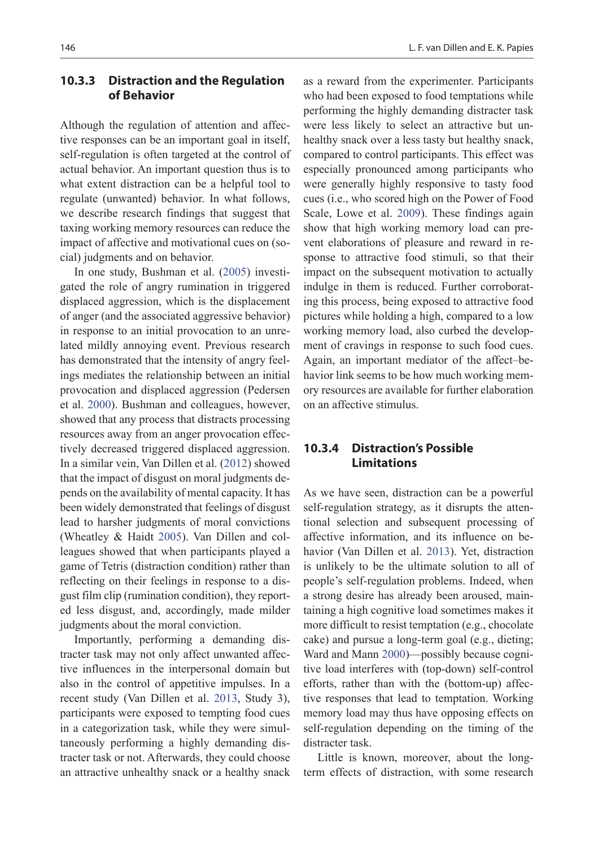# **10.3.3 Distraction and the Regulation of Behavior**

Although the regulation of attention and affective responses can be an important goal in itself, self-regulation is often targeted at the control of actual behavior. An important question thus is to what extent distraction can be a helpful tool to regulate (unwanted) behavior. In what follows, we describe research findings that suggest that taxing working memory resources can reduce the impact of affective and motivational cues on (social) judgments and on behavior.

In one study, Bushman et al. ([2005\)](#page-11-15) investigated the role of angry rumination in triggered displaced aggression, which is the displacement of anger (and the associated aggressive behavior) in response to an initial provocation to an unrelated mildly annoying event. Previous research has demonstrated that the intensity of angry feelings mediates the relationship between an initial provocation and displaced aggression (Pedersen et al. [2000](#page-13-11)). Bushman and colleagues, however, showed that any process that distracts processing resources away from an anger provocation effectively decreased triggered displaced aggression. In a similar vein, Van Dillen et al. [\(2012](#page-13-3)) showed that the impact of disgust on moral judgments depends on the availability of mental capacity. It has been widely demonstrated that feelings of disgust lead to harsher judgments of moral convictions (Wheatley & Haidt [2005\)](#page-13-12). Van Dillen and colleagues showed that when participants played a game of Tetris (distraction condition) rather than reflecting on their feelings in response to a disgust film clip (rumination condition), they reported less disgust, and, accordingly, made milder judgments about the moral conviction.

Importantly, performing a demanding distracter task may not only affect unwanted affective influences in the interpersonal domain but also in the control of appetitive impulses. In a recent study (Van Dillen et al. [2013,](#page-13-8) Study 3), participants were exposed to tempting food cues in a categorization task, while they were simultaneously performing a highly demanding distracter task or not. Afterwards, they could choose an attractive unhealthy snack or a healthy snack

as a reward from the experimenter. Participants who had been exposed to food temptations while performing the highly demanding distracter task were less likely to select an attractive but unhealthy snack over a less tasty but healthy snack, compared to control participants. This effect was especially pronounced among participants who were generally highly responsive to tasty food cues (i.e., who scored high on the Power of Food Scale, Lowe et al. [2009\)](#page-12-13). These findings again show that high working memory load can prevent elaborations of pleasure and reward in response to attractive food stimuli, so that their impact on the subsequent motivation to actually indulge in them is reduced. Further corroborating this process, being exposed to attractive food pictures while holding a high, compared to a low working memory load, also curbed the development of cravings in response to such food cues. Again, an important mediator of the affect–behavior link seems to be how much working memory resources are available for further elaboration on an affective stimulus.

# **10.3.4 Distraction's Possible Limitations**

As we have seen, distraction can be a powerful self-regulation strategy, as it disrupts the attentional selection and subsequent processing of affective information, and its influence on behavior (Van Dillen et al. [2013\)](#page-13-8). Yet, distraction is unlikely to be the ultimate solution to all of people's self-regulation problems. Indeed, when a strong desire has already been aroused, maintaining a high cognitive load sometimes makes it more difficult to resist temptation (e.g., chocolate cake) and pursue a long-term goal (e.g., dieting; Ward and Mann [2000\)](#page-13-13)—possibly because cognitive load interferes with (top-down) self-control efforts, rather than with the (bottom-up) affective responses that lead to temptation. Working memory load may thus have opposing effects on self-regulation depending on the timing of the distracter task.

Little is known, moreover, about the longterm effects of distraction, with some research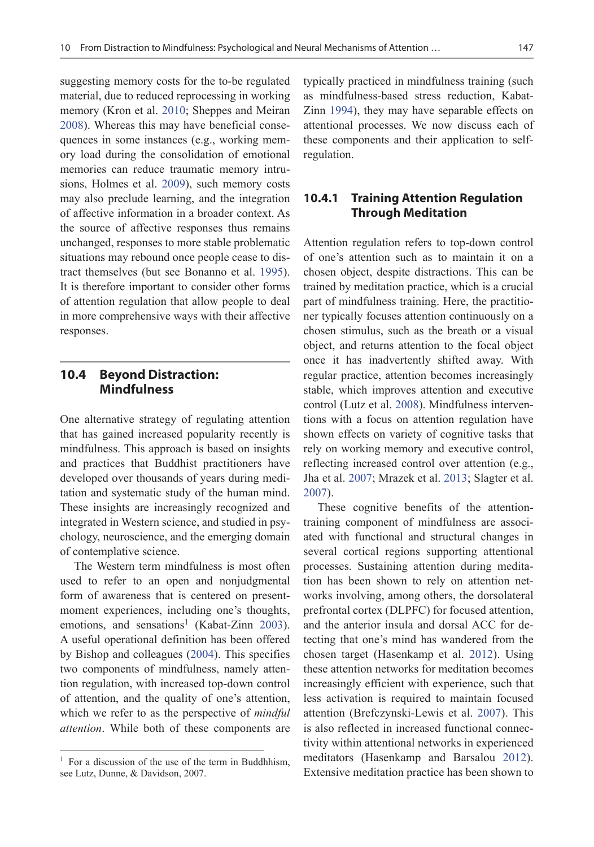suggesting memory costs for the to-be regulated material, due to reduced reprocessing in working memory (Kron et al. [2010;](#page-12-14) Sheppes and Meiran [2008](#page-13-14)). Whereas this may have beneficial consequences in some instances (e.g., working memory load during the consolidation of emotional memories can reduce traumatic memory intrusions, Holmes et al. [2009\)](#page-12-12), such memory costs may also preclude learning, and the integration of affective information in a broader context. As the source of affective responses thus remains unchanged, responses to more stable problematic situations may rebound once people cease to distract themselves (but see Bonanno et al. [1995\)](#page-11-16). It is therefore important to consider other forms of attention regulation that allow people to deal in more comprehensive ways with their affective responses.

### **10.4 Beyond Distraction: Mindfulness**

One alternative strategy of regulating attention that has gained increased popularity recently is mindfulness. This approach is based on insights and practices that Buddhist practitioners have developed over thousands of years during meditation and systematic study of the human mind. These insights are increasingly recognized and integrated in Western science, and studied in psychology, neuroscience, and the emerging domain of contemplative science.

The Western term mindfulness is most often used to refer to an open and nonjudgmental form of awareness that is centered on presentmoment experiences, including one's thoughts, emotions, and sensations<sup>1</sup> (Kabat-Zinn [2003\)](#page-12-15). A useful operational definition has been offered by Bishop and colleagues ([2004\)](#page-11-17). This specifies two components of mindfulness, namely attention regulation, with increased top-down control of attention, and the quality of one's attention, which we refer to as the perspective of *mindful attention*. While both of these components are typically practiced in mindfulness training (such as mindfulness-based stress reduction, Kabat-Zinn [1994](#page-12-16)), they may have separable effects on attentional processes. We now discuss each of these components and their application to selfregulation.

## **10.4.1 Training Attention Regulation Through Meditation**

Attention regulation refers to top-down control of one's attention such as to maintain it on a chosen object, despite distractions. This can be trained by meditation practice, which is a crucial part of mindfulness training. Here, the practitioner typically focuses attention continuously on a chosen stimulus, such as the breath or a visual object, and returns attention to the focal object once it has inadvertently shifted away. With regular practice, attention becomes increasingly stable, which improves attention and executive control (Lutz et al. [2008](#page-12-17)). Mindfulness interventions with a focus on attention regulation have shown effects on variety of cognitive tasks that rely on working memory and executive control, reflecting increased control over attention (e.g., Jha et al. [2007](#page-12-18); Mrazek et al. [2013](#page-12-19); Slagter et al. [2007\)](#page-13-15).

These cognitive benefits of the attentiontraining component of mindfulness are associated with functional and structural changes in several cortical regions supporting attentional processes. Sustaining attention during meditation has been shown to rely on attention networks involving, among others, the dorsolateral prefrontal cortex (DLPFC) for focused attention, and the anterior insula and dorsal ACC for detecting that one's mind has wandered from the chosen target (Hasenkamp et al. [2012](#page-12-20)). Using these attention networks for meditation becomes increasingly efficient with experience, such that less activation is required to maintain focused attention (Brefczynski-Lewis et al. [2007](#page-11-18)). This is also reflected in increased functional connectivity within attentional networks in experienced meditators (Hasenkamp and Barsalou [2012\)](#page-12-21). Extensive meditation practice has been shown to

 $1$  For a discussion of the use of the term in Buddhhism, see Lutz, Dunne, & Davidson, 2007.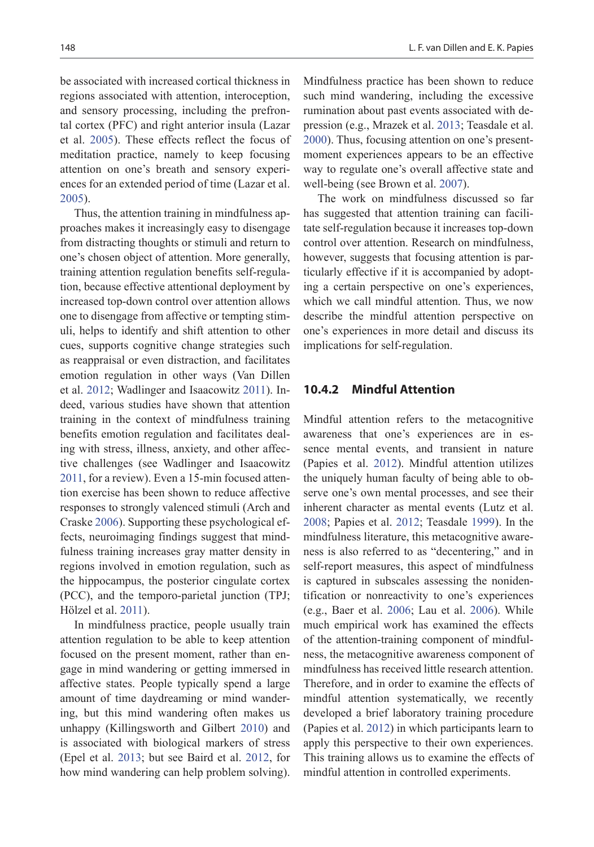be associated with increased cortical thickness in regions associated with attention, interoception, and sensory processing, including the prefrontal cortex (PFC) and right anterior insula (Lazar et al. [2005\)](#page-12-22). These effects reflect the focus of meditation practice, namely to keep focusing attention on one's breath and sensory experiences for an extended period of time (Lazar et al. [2005](#page-12-22)).

Thus, the attention training in mindfulness approaches makes it increasingly easy to disengage from distracting thoughts or stimuli and return to one's chosen object of attention. More generally, training attention regulation benefits self-regulation, because effective attentional deployment by increased top-down control over attention allows one to disengage from affective or tempting stimuli, helps to identify and shift attention to other cues, supports cognitive change strategies such as reappraisal or even distraction, and facilitates emotion regulation in other ways (Van Dillen et al. [2012;](#page-13-3) Wadlinger and Isaacowitz [2011](#page-13-16)). Indeed, various studies have shown that attention training in the context of mindfulness training benefits emotion regulation and facilitates dealing with stress, illness, anxiety, and other affective challenges (see Wadlinger and Isaacowitz [2011,](#page-13-16) for a review). Even a 15-min focused attention exercise has been shown to reduce affective responses to strongly valenced stimuli (Arch and Craske [2006\)](#page-11-19). Supporting these psychological effects, neuroimaging findings suggest that mindfulness training increases gray matter density in regions involved in emotion regulation, such as the hippocampus, the posterior cingulate cortex (PCC), and the temporo-parietal junction (TPJ; Hölzel et al. [2011\)](#page-12-23).

In mindfulness practice, people usually train attention regulation to be able to keep attention focused on the present moment, rather than engage in mind wandering or getting immersed in affective states. People typically spend a large amount of time daydreaming or mind wandering, but this mind wandering often makes us unhappy (Killingsworth and Gilbert [2010](#page-12-24)) and is associated with biological markers of stress (Epel et al. [2013](#page-11-20); but see Baird et al. [2012,](#page-11-21) for how mind wandering can help problem solving). Mindfulness practice has been shown to reduce such mind wandering, including the excessive rumination about past events associated with depression (e.g., Mrazek et al. [2013;](#page-12-19) Teasdale et al. [2000\)](#page-13-17). Thus, focusing attention on one's presentmoment experiences appears to be an effective way to regulate one's overall affective state and well-being (see Brown et al. [2007](#page-11-22)).

The work on mindfulness discussed so far has suggested that attention training can facilitate self-regulation because it increases top-down control over attention. Research on mindfulness, however, suggests that focusing attention is particularly effective if it is accompanied by adopting a certain perspective on one's experiences, which we call mindful attention. Thus, we now describe the mindful attention perspective on one's experiences in more detail and discuss its implications for self-regulation.

#### **10.4.2 Mindful Attention**

Mindful attention refers to the metacognitive awareness that one's experiences are in essence mental events, and transient in nature (Papies et al. [2012\)](#page-12-25). Mindful attention utilizes the uniquely human faculty of being able to observe one's own mental processes, and see their inherent character as mental events (Lutz et al. [2008;](#page-12-17) Papies et al. [2012;](#page-12-25) Teasdale [1999\)](#page-13-18). In the mindfulness literature, this metacognitive awareness is also referred to as "decentering," and in self-report measures, this aspect of mindfulness is captured in subscales assessing the nonidentification or nonreactivity to one's experiences (e.g., Baer et al. [2006](#page-11-23); Lau et al. [2006\)](#page-12-26). While much empirical work has examined the effects of the attention-training component of mindfulness, the metacognitive awareness component of mindfulness has received little research attention. Therefore, and in order to examine the effects of mindful attention systematically, we recently developed a brief laboratory training procedure (Papies et al. [2012\)](#page-12-25) in which participants learn to apply this perspective to their own experiences. This training allows us to examine the effects of mindful attention in controlled experiments.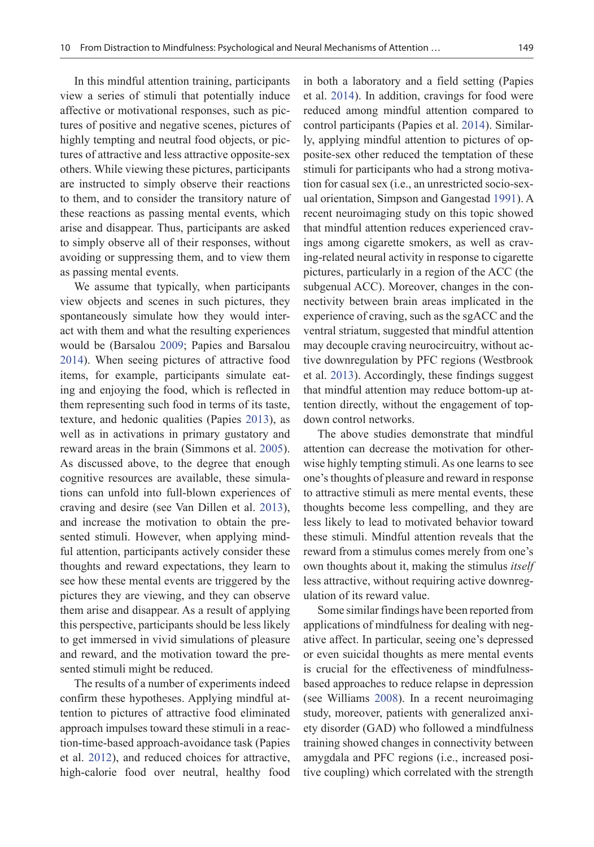In this mindful attention training, participants view a series of stimuli that potentially induce affective or motivational responses, such as pictures of positive and negative scenes, pictures of highly tempting and neutral food objects, or pictures of attractive and less attractive opposite-sex others. While viewing these pictures, participants are instructed to simply observe their reactions to them, and to consider the transitory nature of these reactions as passing mental events, which arise and disappear. Thus, participants are asked to simply observe all of their responses, without avoiding or suppressing them, and to view them as passing mental events.

We assume that typically, when participants view objects and scenes in such pictures, they spontaneously simulate how they would interact with them and what the resulting experiences would be (Barsalou [2009](#page-11-24); Papies and Barsalou [2014](#page-12-27)). When seeing pictures of attractive food items, for example, participants simulate eating and enjoying the food, which is reflected in them representing such food in terms of its taste, texture, and hedonic qualities (Papies [2013\)](#page-12-5), as well as in activations in primary gustatory and reward areas in the brain (Simmons et al. [2005\)](#page-13-19). As discussed above, to the degree that enough cognitive resources are available, these simulations can unfold into full-blown experiences of craving and desire (see Van Dillen et al. [2013\)](#page-13-8), and increase the motivation to obtain the presented stimuli. However, when applying mindful attention, participants actively consider these thoughts and reward expectations, they learn to see how these mental events are triggered by the pictures they are viewing, and they can observe them arise and disappear. As a result of applying this perspective, participants should be less likely to get immersed in vivid simulations of pleasure and reward, and the motivation toward the presented stimuli might be reduced.

The results of a number of experiments indeed confirm these hypotheses. Applying mindful attention to pictures of attractive food eliminated approach impulses toward these stimuli in a reaction-time-based approach-avoidance task (Papies et al. [2012](#page-12-25)), and reduced choices for attractive, high-calorie food over neutral, healthy food

in both a laboratory and a field setting (Papies et al. [2014](#page-13-20)). In addition, cravings for food were reduced among mindful attention compared to control participants (Papies et al. [2014](#page-13-20)). Similarly, applying mindful attention to pictures of opposite-sex other reduced the temptation of these stimuli for participants who had a strong motivation for casual sex (i.e., an unrestricted socio-sexual orientation, Simpson and Gangestad [1991](#page-13-21)). A recent neuroimaging study on this topic showed that mindful attention reduces experienced cravings among cigarette smokers, as well as craving-related neural activity in response to cigarette pictures, particularly in a region of the ACC (the subgenual ACC). Moreover, changes in the connectivity between brain areas implicated in the experience of craving, such as the sgACC and the ventral striatum, suggested that mindful attention may decouple craving neurocircuitry, without active downregulation by PFC regions (Westbrook et al. [2013\)](#page-13-22). Accordingly, these findings suggest that mindful attention may reduce bottom-up attention directly, without the engagement of topdown control networks.

The above studies demonstrate that mindful attention can decrease the motivation for otherwise highly tempting stimuli. As one learns to see one's thoughts of pleasure and reward in response to attractive stimuli as mere mental events, these thoughts become less compelling, and they are less likely to lead to motivated behavior toward these stimuli. Mindful attention reveals that the reward from a stimulus comes merely from one's own thoughts about it, making the stimulus *itself* less attractive, without requiring active downregulation of its reward value.

Some similar findings have been reported from applications of mindfulness for dealing with negative affect. In particular, seeing one's depressed or even suicidal thoughts as mere mental events is crucial for the effectiveness of mindfulnessbased approaches to reduce relapse in depression (see Williams [2008](#page-13-23)). In a recent neuroimaging study, moreover, patients with generalized anxiety disorder (GAD) who followed a mindfulness training showed changes in connectivity between amygdala and PFC regions (i.e., increased positive coupling) which correlated with the strength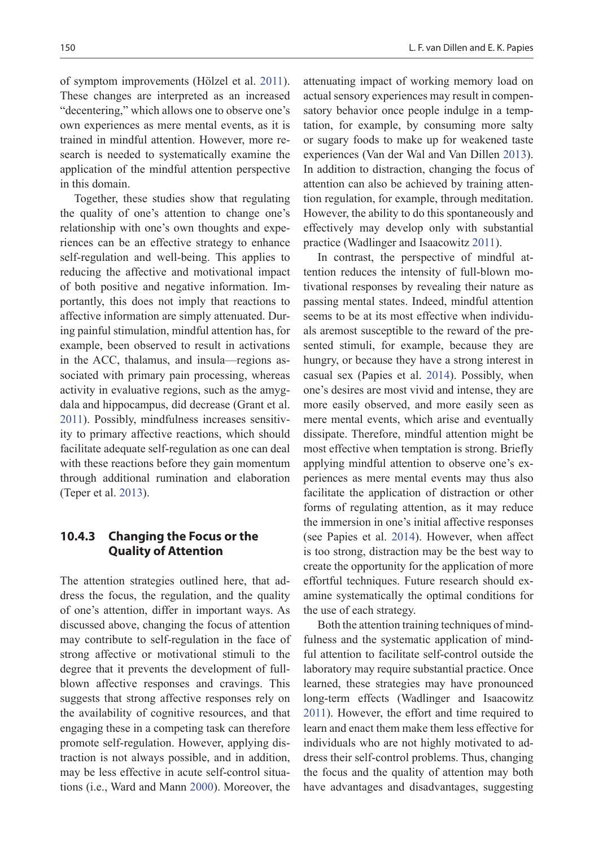of symptom improvements (Hölzel et al. [2011\)](#page-12-23). These changes are interpreted as an increased "decentering," which allows one to observe one's own experiences as mere mental events, as it is trained in mindful attention. However, more research is needed to systematically examine the application of the mindful attention perspective in this domain.

Together, these studies show that regulating the quality of one's attention to change one's relationship with one's own thoughts and experiences can be an effective strategy to enhance self-regulation and well-being. This applies to reducing the affective and motivational impact of both positive and negative information. Importantly, this does not imply that reactions to affective information are simply attenuated. During painful stimulation, mindful attention has, for example, been observed to result in activations in the ACC, thalamus, and insula—regions associated with primary pain processing, whereas activity in evaluative regions, such as the amygdala and hippocampus, did decrease (Grant et al. [2011\)](#page-11-25). Possibly, mindfulness increases sensitivity to primary affective reactions, which should facilitate adequate self-regulation as one can deal with these reactions before they gain momentum through additional rumination and elaboration (Teper et al. [2013](#page-13-24)).

#### **10.4.3 Changing the Focus or the Quality of Attention**

The attention strategies outlined here, that address the focus, the regulation, and the quality of one's attention, differ in important ways. As discussed above, changing the focus of attention may contribute to self-regulation in the face of strong affective or motivational stimuli to the degree that it prevents the development of fullblown affective responses and cravings. This suggests that strong affective responses rely on the availability of cognitive resources, and that engaging these in a competing task can therefore promote self-regulation. However, applying distraction is not always possible, and in addition, may be less effective in acute self-control situations (i.e., Ward and Mann [2000](#page-13-13)). Moreover, the

attenuating impact of working memory load on actual sensory experiences may result in compensatory behavior once people indulge in a temptation, for example, by consuming more salty or sugary foods to make up for weakened taste experiences (Van der Wal and Van Dillen [2013\)](#page-13-25). In addition to distraction, changing the focus of attention can also be achieved by training attention regulation, for example, through meditation. However, the ability to do this spontaneously and effectively may develop only with substantial practice (Wadlinger and Isaacowitz [2011](#page-13-16)).

In contrast, the perspective of mindful attention reduces the intensity of full-blown motivational responses by revealing their nature as passing mental states. Indeed, mindful attention seems to be at its most effective when individuals aremost susceptible to the reward of the presented stimuli, for example, because they are hungry, or because they have a strong interest in casual sex (Papies et al. [2014](#page-13-20)). Possibly, when one's desires are most vivid and intense, they are more easily observed, and more easily seen as mere mental events, which arise and eventually dissipate. Therefore, mindful attention might be most effective when temptation is strong. Briefly applying mindful attention to observe one's experiences as mere mental events may thus also facilitate the application of distraction or other forms of regulating attention, as it may reduce the immersion in one's initial affective responses (see Papies et al. [2014\)](#page-13-20). However, when affect is too strong, distraction may be the best way to create the opportunity for the application of more effortful techniques. Future research should examine systematically the optimal conditions for the use of each strategy.

Both the attention training techniques of mindfulness and the systematic application of mindful attention to facilitate self-control outside the laboratory may require substantial practice. Once learned, these strategies may have pronounced long-term effects (Wadlinger and Isaacowitz [2011\)](#page-13-16). However, the effort and time required to learn and enact them make them less effective for individuals who are not highly motivated to address their self-control problems. Thus, changing the focus and the quality of attention may both have advantages and disadvantages, suggesting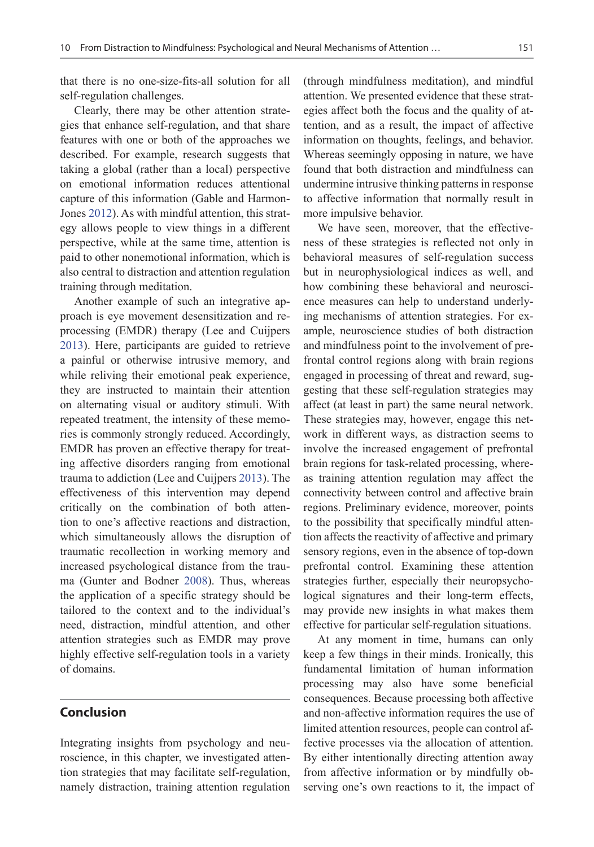that there is no one-size-fits-all solution for all self-regulation challenges.

Clearly, there may be other attention strategies that enhance self-regulation, and that share features with one or both of the approaches we described. For example, research suggests that taking a global (rather than a local) perspective on emotional information reduces attentional capture of this information (Gable and Harmon-Jones [2012](#page-11-26)). As with mindful attention, this strategy allows people to view things in a different perspective, while at the same time, attention is paid to other nonemotional information, which is also central to distraction and attention regulation training through meditation.

Another example of such an integrative approach is eye movement desensitization and reprocessing (EMDR) therapy (Lee and Cuijpers [2013](#page-12-28)). Here, participants are guided to retrieve a painful or otherwise intrusive memory, and while reliving their emotional peak experience, they are instructed to maintain their attention on alternating visual or auditory stimuli. With repeated treatment, the intensity of these memories is commonly strongly reduced. Accordingly, EMDR has proven an effective therapy for treating affective disorders ranging from emotional trauma to addiction (Lee and Cuijpers [2013](#page-12-28)). The effectiveness of this intervention may depend critically on the combination of both attention to one's affective reactions and distraction, which simultaneously allows the disruption of traumatic recollection in working memory and increased psychological distance from the trauma (Gunter and Bodner [2008\)](#page-12-29). Thus, whereas the application of a specific strategy should be tailored to the context and to the individual's need, distraction, mindful attention, and other attention strategies such as EMDR may prove highly effective self-regulation tools in a variety of domains.

# **Conclusion**

Integrating insights from psychology and neuroscience, in this chapter, we investigated attention strategies that may facilitate self-regulation, namely distraction, training attention regulation

(through mindfulness meditation), and mindful attention. We presented evidence that these strategies affect both the focus and the quality of attention, and as a result, the impact of affective information on thoughts, feelings, and behavior. Whereas seemingly opposing in nature, we have found that both distraction and mindfulness can undermine intrusive thinking patterns in response to affective information that normally result in more impulsive behavior.

We have seen, moreover, that the effectiveness of these strategies is reflected not only in behavioral measures of self-regulation success but in neurophysiological indices as well, and how combining these behavioral and neuroscience measures can help to understand underlying mechanisms of attention strategies. For example, neuroscience studies of both distraction and mindfulness point to the involvement of prefrontal control regions along with brain regions engaged in processing of threat and reward, suggesting that these self-regulation strategies may affect (at least in part) the same neural network. These strategies may, however, engage this network in different ways, as distraction seems to involve the increased engagement of prefrontal brain regions for task-related processing, whereas training attention regulation may affect the connectivity between control and affective brain regions. Preliminary evidence, moreover, points to the possibility that specifically mindful attention affects the reactivity of affective and primary sensory regions, even in the absence of top-down prefrontal control. Examining these attention strategies further, especially their neuropsychological signatures and their long-term effects, may provide new insights in what makes them effective for particular self-regulation situations.

At any moment in time, humans can only keep a few things in their minds. Ironically, this fundamental limitation of human information processing may also have some beneficial consequences. Because processing both affective and non-affective information requires the use of limited attention resources, people can control affective processes via the allocation of attention. By either intentionally directing attention away from affective information or by mindfully observing one's own reactions to it, the impact of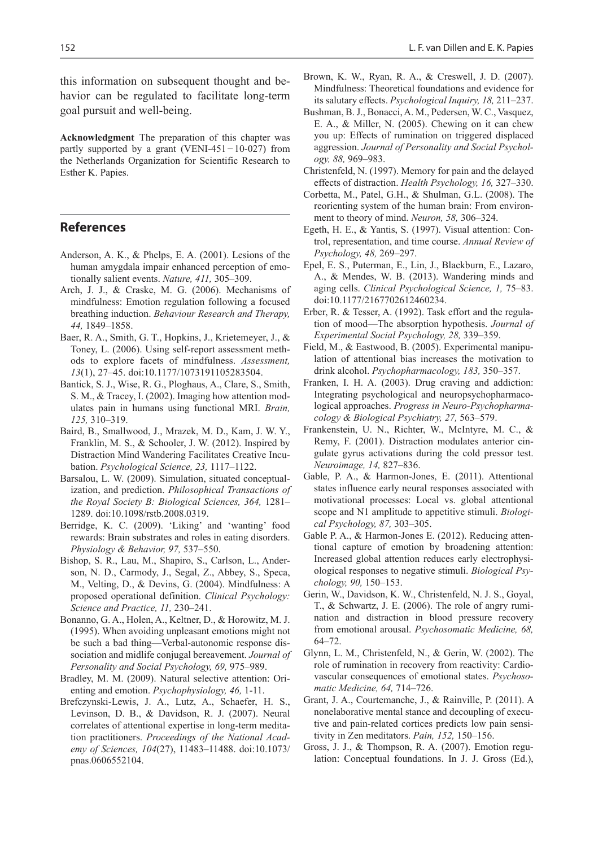this information on subsequent thought and behavior can be regulated to facilitate long-term goal pursuit and well-being.

**Acknowledgment** The preparation of this chapter was partly supported by a grant (VENI-451−10-027) from the Netherlands Organization for Scientific Research to Esther K. Papies.

#### **References**

- <span id="page-11-5"></span>Anderson, A. K., & Phelps, E. A. (2001). Lesions of the human amygdala impair enhanced perception of emotionally salient events. *Nature, 411,* 305–309.
- <span id="page-11-19"></span>Arch, J. J., & Craske, M. G. (2006). Mechanisms of mindfulness: Emotion regulation following a focused breathing induction. *Behaviour Research and Therapy, 44,* 1849–1858.
- <span id="page-11-23"></span>Baer, R. A., Smith, G. T., Hopkins, J., Krietemeyer, J., & Toney, L. (2006). Using self-report assessment methods to explore facets of mindfulness. *Assessment, 13*(1), 27–45. doi:10.1177/1073191105283504.
- <span id="page-11-13"></span>Bantick, S. J., Wise, R. G., Ploghaus, A., Clare, S., Smith, S. M., & Tracey, I. (2002). Imaging how attention modulates pain in humans using functional MRI. *Brain, 125,* 310–319.
- <span id="page-11-21"></span>Baird, B., Smallwood, J., Mrazek, M. D., Kam, J. W. Y., Franklin, M. S., & Schooler, J. W. (2012). Inspired by Distraction Mind Wandering Facilitates Creative Incubation. *Psychological Science, 23,* 1117–1122.
- <span id="page-11-24"></span>Barsalou, L. W. (2009). Simulation, situated conceptualization, and prediction. *Philosophical Transactions of the Royal Society B: Biological Sciences, 364,* 1281– 1289. doi:10.1098/rstb.2008.0319.
- <span id="page-11-6"></span>Berridge, K. C. (2009). 'Liking' and 'wanting' food rewards: Brain substrates and roles in eating disorders. *Physiology & Behavior, 97,* 537–550.
- <span id="page-11-17"></span>Bishop, S. R., Lau, M., Shapiro, S., Carlson, L., Anderson, N. D., Carmody, J., Segal, Z., Abbey, S., Speca, M., Velting, D., & Devins, G. (2004). Mindfulness: A proposed operational definition. *Clinical Psychology: Science and Practice, 11,* 230–241.
- <span id="page-11-16"></span>Bonanno, G. A., Holen, A., Keltner, D., & Horowitz, M. J. (1995). When avoiding unpleasant emotions might not be such a bad thing—Verbal-autonomic response dissociation and midlife conjugal bereavement. *Journal of Personality and Social Psychology, 69,* 975–989.
- <span id="page-11-0"></span>Bradley, M. M. (2009). Natural selective attention: Orienting and emotion. *Psychophysiology, 46,* 1-11.
- <span id="page-11-18"></span>Brefczynski-Lewis, J. A., Lutz, A., Schaefer, H. S., Levinson, D. B., & Davidson, R. J. (2007). Neural correlates of attentional expertise in long-term meditation practitioners. *Proceedings of the National Academy of Sciences, 104*(27), 11483–11488. doi:10.1073/ pnas.0606552104.
- <span id="page-11-22"></span>Brown, K. W., Ryan, R. A., & Creswell, J. D. (2007). Mindfulness: Theoretical foundations and evidence for its salutary effects. *Psychological Inquiry, 18,* 211–237.
- <span id="page-11-15"></span>Bushman, B. J., Bonacci, A. M., Pedersen, W. C., Vasquez, E. A., & Miller, N. (2005). Chewing on it can chew you up: Effects of rumination on triggered displaced aggression. *Journal of Personality and Social Psychology, 88,* 969–983.
- <span id="page-11-10"></span>Christenfeld, N. (1997). Memory for pain and the delayed effects of distraction. *Health Psychology, 16,* 327–330.
- <span id="page-11-3"></span>Corbetta, M., Patel, G.H., & Shulman, G.L. (2008). The reorienting system of the human brain: From environment to theory of mind. *Neuron, 58,* 306–324.
- <span id="page-11-4"></span>Egeth, H. E., & Yantis, S. (1997). Visual attention: Control, representation, and time course. *Annual Review of Psychology, 48,* 269–297.
- <span id="page-11-20"></span>Epel, E. S., Puterman, E., Lin, J., Blackburn, E., Lazaro, A., & Mendes, W. B. (2013). Wandering minds and aging cells. *Clinical Psychological Science, 1,* 75–83. doi:10.1177/2167702612460234.
- <span id="page-11-12"></span>Erber, R. & Tesser, A. (1992). Task effort and the regulation of mood—The absorption hypothesis. *Journal of Experimental Social Psychology, 28,* 339–359.
- <span id="page-11-8"></span>Field, M., & Eastwood, B. (2005). Experimental manipulation of attentional bias increases the motivation to drink alcohol. *Psychopharmacology, 183,* 350–357.
- <span id="page-11-9"></span>Franken, I. H. A. (2003). Drug craving and addiction: Integrating psychological and neuropsychopharmacological approaches. *Progress in Neuro-Psychopharmacology & Biological Psychiatry, 27,* 563–579.
- <span id="page-11-14"></span>Frankenstein, U. N., Richter, W., McIntyre, M. C., & Remy, F. (2001). Distraction modulates anterior cingulate gyrus activations during the cold pressor test. *Neuroimage, 14,* 827–836.
- <span id="page-11-7"></span>Gable, P. A., & Harmon-Jones, E. (2011). Attentional states influence early neural responses associated with motivational processes: Local vs. global attentional scope and N1 amplitude to appetitive stimuli. *Biological Psychology, 87,* 303–305.
- <span id="page-11-26"></span>Gable P. A., & Harmon-Jones E. (2012). Reducing attentional capture of emotion by broadening attention: Increased global attention reduces early electrophysiological responses to negative stimuli. *Biological Psychology, 90,* 150–153.
- <span id="page-11-2"></span>Gerin, W., Davidson, K. W., Christenfeld, N. J. S., Goyal, T., & Schwartz, J. E. (2006). The role of angry rumination and distraction in blood pressure recovery from emotional arousal. *Psychosomatic Medicine, 68,* 64–72.
- <span id="page-11-11"></span>Glynn, L. M., Christenfeld, N., & Gerin, W. (2002). The role of rumination in recovery from reactivity: Cardiovascular consequences of emotional states. *Psychosomatic Medicine, 64,* 714–726.
- <span id="page-11-25"></span>Grant, J. A., Courtemanche, J., & Rainville, P. (2011). A nonelaborative mental stance and decoupling of executive and pain-related cortices predicts low pain sensitivity in Zen meditators. *Pain, 152,* 150–156.
- <span id="page-11-1"></span>Gross, J. J., & Thompson, R. A. (2007). Emotion regulation: Conceptual foundations. In J. J. Gross (Ed.),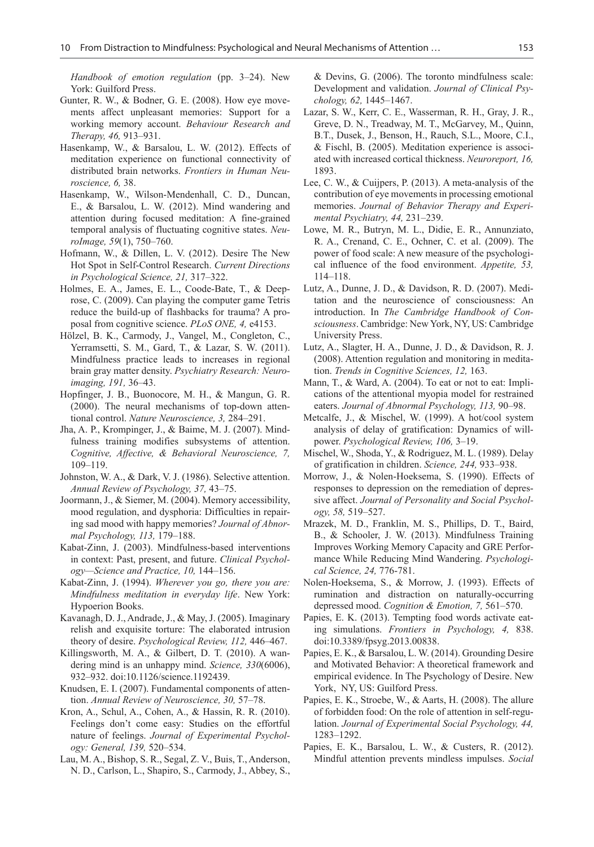*Handbook of emotion regulation* (pp. 3–24). New York: Guilford Press.

- <span id="page-12-29"></span>Gunter, R. W., & Bodner, G. E. (2008). How eye movements affect unpleasant memories: Support for a working memory account. *Behaviour Research and Therapy, 46,* 913–931.
- <span id="page-12-21"></span>Hasenkamp, W., & Barsalou, L. W. (2012). Effects of meditation experience on functional connectivity of distributed brain networks. *Frontiers in Human Neuroscience, 6,* 38.
- <span id="page-12-20"></span>Hasenkamp, W., Wilson-Mendenhall, C. D., Duncan, E., & Barsalou, L. W. (2012). Mind wandering and attention during focused meditation: A fine-grained temporal analysis of fluctuating cognitive states. *NeuroImage, 59*(1), 750–760.
- <span id="page-12-7"></span>Hofmann, W., & Dillen, L. V. (2012). Desire The New Hot Spot in Self-Control Research. *Current Directions in Psychological Science, 21,* 317–322.
- <span id="page-12-12"></span>Holmes, E. A., James, E. L., Coode-Bate, T., & Deeprose, C. (2009). Can playing the computer game Tetris reduce the build-up of flashbacks for trauma? A proposal from cognitive science. *PLoS ONE, 4,* e4153.
- <span id="page-12-23"></span>Hölzel, B. K., Carmody, J., Vangel, M., Congleton, C., Yerramsetti, S. M., Gard, T., & Lazar, S. W. (2011). Mindfulness practice leads to increases in regional brain gray matter density. *Psychiatry Research: Neuroimaging, 191,* 36–43.
- Hopfinger, J. B., Buonocore, M. H., & Mangun, G. R. (2000). The neural mechanisms of top-down attentional control. *Nature Neuroscience, 3,* 284–291.
- <span id="page-12-18"></span>Jha, A. P., Krompinger, J., & Baime, M. J. (2007). Mindfulness training modifies subsystems of attention. *Cognitive, Affective, & Behavioral Neuroscience, 7,* 109–119.
- <span id="page-12-0"></span>Johnston, W. A., & Dark, V. J. (1986). Selective attention. *Annual Review of Psychology, 37,* 43–75.
- <span id="page-12-9"></span>Joormann, J., & Siemer, M. (2004). Memory accessibility, mood regulation, and dysphoria: Difficulties in repairing sad mood with happy memories? *Journal of Abnormal Psychology, 113,* 179–188.
- <span id="page-12-15"></span>Kabat-Zinn, J. (2003). Mindfulness-based interventions in context: Past, present, and future. *Clinical Psychology—Science and Practice, 10,* 144–156.
- <span id="page-12-16"></span>Kabat-Zinn, J. (1994). *Wherever you go, there you are: Mindfulness meditation in everyday life*. New York: Hypoerion Books.
- <span id="page-12-8"></span>Kavanagh, D. J., Andrade, J., & May, J. (2005). Imaginary relish and exquisite torture: The elaborated intrusion theory of desire. *Psychological Review, 112,* 446–467.
- <span id="page-12-24"></span>Killingsworth, M. A., & Gilbert, D. T. (2010). A wandering mind is an unhappy mind. *Science, 330*(6006), 932–932. doi:10.1126/science.1192439.
- <span id="page-12-1"></span>Knudsen, E. I. (2007). Fundamental components of attention. *Annual Review of Neuroscience, 30,* 57–78.
- <span id="page-12-14"></span>Kron, A., Schul, A., Cohen, A., & Hassin, R. R. (2010). Feelings don't come easy: Studies on the effortful nature of feelings. *Journal of Experimental Psychology: General, 139,* 520–534.
- <span id="page-12-26"></span>Lau, M. A., Bishop, S. R., Segal, Z. V., Buis, T., Anderson, N. D., Carlson, L., Shapiro, S., Carmody, J., Abbey, S.,

& Devins, G. (2006). The toronto mindfulness scale: Development and validation. *Journal of Clinical Psychology, 62,* 1445–1467.

- <span id="page-12-22"></span>Lazar, S. W., Kerr, C. E., Wasserman, R. H., Gray, J. R., Greve, D. N., Treadway, M. T., McGarvey, M., Quinn, B.T., Dusek, J., Benson, H., Rauch, S.L., Moore, C.I., & Fischl, B. (2005). Meditation experience is associated with increased cortical thickness. *Neuroreport, 16,* 1893.
- <span id="page-12-28"></span>Lee, C. W., & Cuijpers, P. (2013). A meta-analysis of the contribution of eye movements in processing emotional memories. *Journal of Behavior Therapy and Experimental Psychiatry, 44,* 231–239.
- <span id="page-12-13"></span>Lowe, M. R., Butryn, M. L., Didie, E. R., Annunziato, R. A., Crenand, C. E., Ochner, C. et al. (2009). The power of food scale: A new measure of the psychological influence of the food environment. *Appetite, 53,* 114–118.
- Lutz, A., Dunne, J. D., & Davidson, R. D. (2007). Meditation and the neuroscience of consciousness: An introduction. In *The Cambridge Handbook of Consciousness*. Cambridge: New York, NY, US: Cambridge University Press.
- <span id="page-12-17"></span>Lutz, A., Slagter, H. A., Dunne, J. D., & Davidson, R. J. (2008). Attention regulation and monitoring in meditation. *Trends in Cognitive Sciences, 12,* 163.
- <span id="page-12-3"></span>Mann, T., & Ward, A. (2004). To eat or not to eat: Implications of the attentional myopia model for restrained eaters. *Journal of Abnormal Psychology, 113,* 90–98.
- <span id="page-12-4"></span>Metcalfe, J., & Mischel, W. (1999). A hot/cool system analysis of delay of gratification: Dynamics of willpower. *Psychological Review, 106,* 3–19.
- <span id="page-12-10"></span>Mischel, W., Shoda, Y., & Rodriguez, M. L. (1989). Delay of gratification in children. *Science, 244,* 933–938.
- <span id="page-12-11"></span>Morrow, J., & Nolen-Hoeksema, S. (1990). Effects of responses to depression on the remediation of depressive affect. *Journal of Personality and Social Psychology, 58,* 519–527.
- <span id="page-12-19"></span>Mrazek, M. D., Franklin, M. S., Phillips, D. T., Baird, B., & Schooler, J. W. (2013). Mindfulness Training Improves Working Memory Capacity and GRE Performance While Reducing Mind Wandering. *Psychological Science, 24,* 776-781.
- <span id="page-12-2"></span>Nolen-Hoeksema, S., & Morrow, J. (1993). Effects of rumination and distraction on naturally-occurring depressed mood. *Cognition & Emotion, 7,* 561–570.
- <span id="page-12-5"></span>Papies, E. K. (2013). Tempting food words activate eating simulations. *Frontiers in Psychology, 4,* 838. doi:10.3389/fpsyg.2013.00838.
- <span id="page-12-27"></span>Papies, E. K., & Barsalou, L. W. (2014). Grounding Desire and Motivated Behavior: A theoretical framework and empirical evidence. In The Psychology of Desire. New York, NY, US: Guilford Press.
- <span id="page-12-6"></span>Papies, E. K., Stroebe, W., & Aarts, H. (2008). The allure of forbidden food: On the role of attention in self-regulation. *Journal of Experimental Social Psychology, 44,* 1283–1292.
- <span id="page-12-25"></span>Papies, E. K., Barsalou, L. W., & Custers, R. (2012). Mindful attention prevents mindless impulses. *Social*